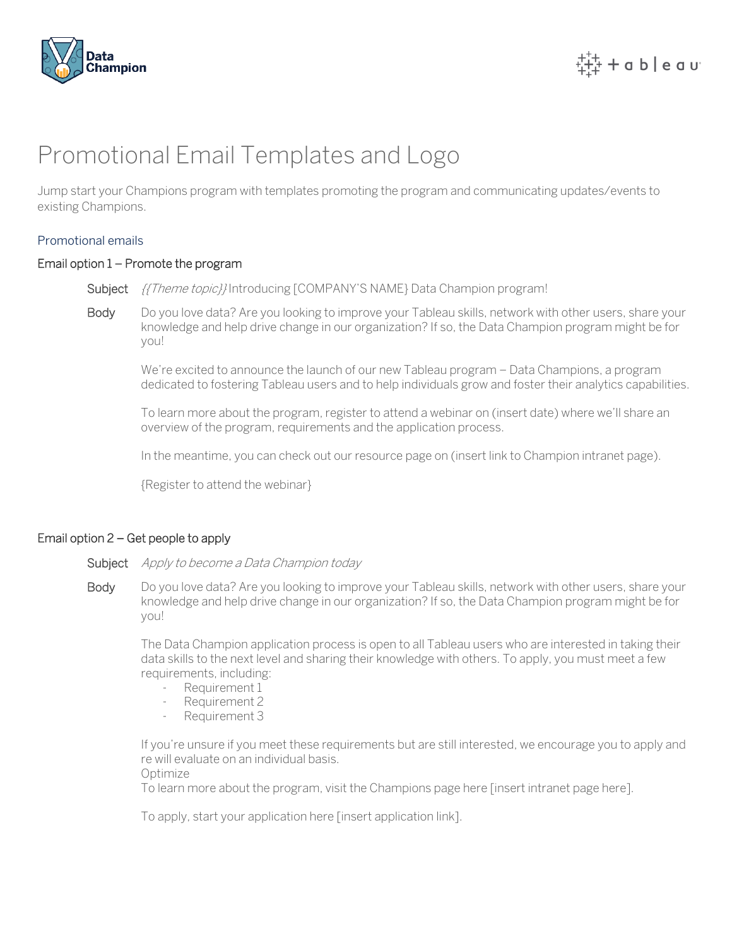

# Promotional Email Templates and Logo

Jump start your Champions program with templates promoting the program and communicating updates/events to existing Champions.

### Promotional emails

### Email option 1 – Promote the program

Subject *{{Theme topic}}* Introducing [COMPANY'S NAME} Data Champion program!

Body Do you love data? Are you looking to improve your Tableau skills, network with other users, share your knowledge and help drive change in our organization? If so, the Data Champion program might be for you!

We're excited to announce the launch of our new Tableau program – Data Champions, a program dedicated to fostering Tableau users and to help individuals grow and foster their analytics capabilities.

To learn more about the program, register to attend a webinar on (insert date) where we'll share an overview of the program, requirements and the application process.

In the meantime, you can check out our resource page on (insert link to Champion intranet page).

{Register to attend the webinar}

### Email option 2 – Get people to apply

#### Subject Apply to become a Data Champion today

Body Do you love data? Are you looking to improve your Tableau skills, network with other users, share your knowledge and help drive change in our organization? If so, the Data Champion program might be for you!

The Data Champion application process is open to all Tableau users who are interested in taking their data skills to the next level and sharing their knowledge with others. To apply, you must meet a few requirements, including:

- Requirement 1
- Requirement 2
- Requirement 3

If you're unsure if you meet these requirements but are still interested, we encourage you to apply and re will evaluate on an individual basis.

Optimize

To learn more about the program, visit the Champions page here [insert intranet page here].

To apply, start your application here [insert application link].